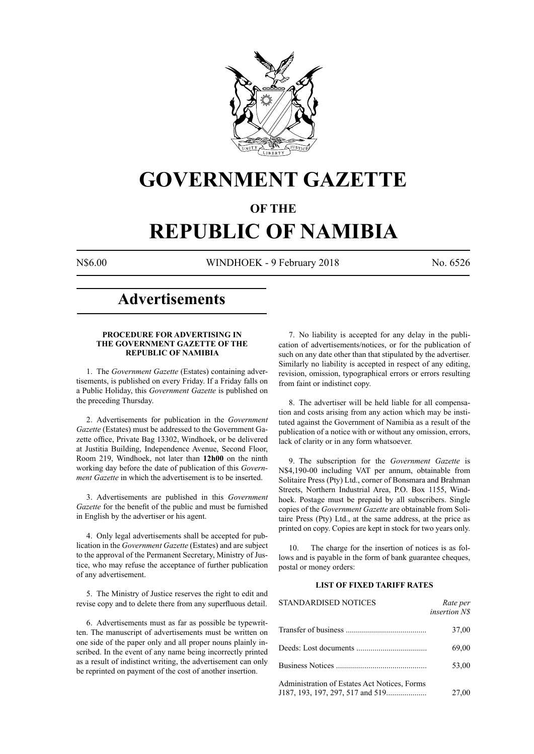

## **GOVERNMENT GAZETTE**

## **OF THE**

# **REPUBLIC OF NAMIBIA**

N\$6.00 WINDHOEK - 9 February 2018 No. 6526

## **Advertisements**

## **PROCEDURE FOR ADVERTISING IN THE GOVERNMENT GAZETTE OF THE REPUBLIC OF NAMIBIA**

1. The *Government Gazette* (Estates) containing advertisements, is published on every Friday. If a Friday falls on a Public Holiday, this *Government Gazette* is published on the preceding Thursday.

2. Advertisements for publication in the *Government Gazette* (Estates) must be addressed to the Government Gazette office, Private Bag 13302, Windhoek, or be delivered at Justitia Building, Independence Avenue, Second Floor, Room 219, Windhoek, not later than **12h00** on the ninth working day before the date of publication of this *Government Gazette* in which the advertisement is to be inserted.

3. Advertisements are published in this *Government Gazette* for the benefit of the public and must be furnished in English by the advertiser or his agent.

4. Only legal advertisements shall be accepted for publication in the *Government Gazette* (Estates) and are subject to the approval of the Permanent Secretary, Ministry of Justice, who may refuse the acceptance of further publication of any advertisement.

5. The Ministry of Justice reserves the right to edit and revise copy and to delete there from any superfluous detail.

6. Advertisements must as far as possible be typewritten. The manuscript of advertisements must be written on one side of the paper only and all proper nouns plainly inscribed. In the event of any name being incorrectly printed as a result of indistinct writing, the advertisement can only be reprinted on payment of the cost of another insertion.

7. No liability is accepted for any delay in the publication of advertisements/notices, or for the publication of such on any date other than that stipulated by the advertiser. Similarly no liability is accepted in respect of any editing, revision, omission, typographical errors or errors resulting from faint or indistinct copy.

8. The advertiser will be held liable for all compensation and costs arising from any action which may be instituted against the Government of Namibia as a result of the publication of a notice with or without any omission, errors, lack of clarity or in any form whatsoever.

9. The subscription for the *Government Gazette* is N\$4,190-00 including VAT per annum, obtainable from Solitaire Press (Pty) Ltd., corner of Bonsmara and Brahman Streets, Northern Industrial Area, P.O. Box 1155, Windhoek. Postage must be prepaid by all subscribers. Single copies of the *Government Gazette* are obtainable from Solitaire Press (Pty) Ltd., at the same address, at the price as printed on copy. Copies are kept in stock for two years only.

10. The charge for the insertion of notices is as follows and is payable in the form of bank guarantee cheques, postal or money orders:

## **LIST OF FIXED TARIFF RATES**

| <b>STANDARDISED NOTICES</b>                  | Rate per<br><i>insertion NS</i> |
|----------------------------------------------|---------------------------------|
|                                              | 37,00                           |
|                                              | 69,00                           |
|                                              | 53,00                           |
| Administration of Estates Act Notices, Forms | 27,00                           |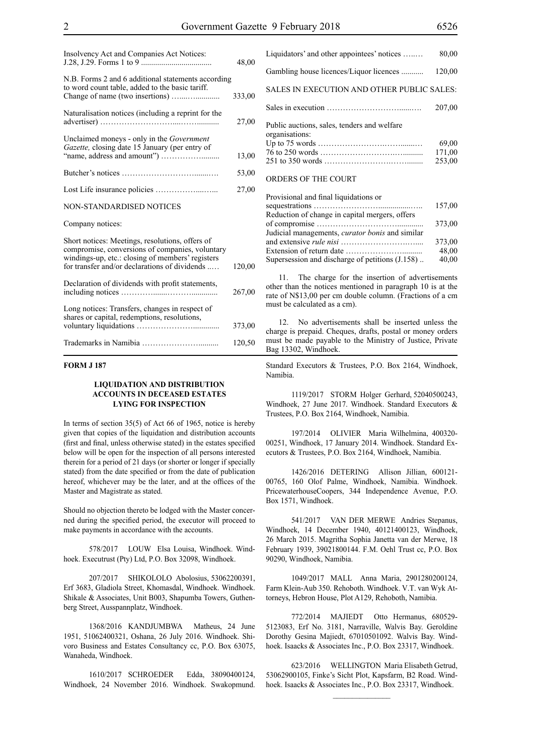| Insolvency Act and Companies Act Notices:                                                                                                                                                               | 48,00  |
|---------------------------------------------------------------------------------------------------------------------------------------------------------------------------------------------------------|--------|
| N.B. Forms 2 and 6 additional statements according<br>to word count table, added to the basic tariff.                                                                                                   | 333,00 |
| Naturalisation notices (including a reprint for the                                                                                                                                                     | 27,00  |
| Unclaimed moneys - only in the Government<br>Gazette, closing date 15 January (per entry of                                                                                                             | 13,00  |
|                                                                                                                                                                                                         | 53,00  |
|                                                                                                                                                                                                         | 27,00  |
| <b>NON-STANDARDISED NOTICES</b>                                                                                                                                                                         |        |
| Company notices:                                                                                                                                                                                        |        |
| Short notices: Meetings, resolutions, offers of<br>compromise, conversions of companies, voluntary<br>windings-up, etc.: closing of members' registers<br>for transfer and/or declarations of dividends | 120,00 |
| Declaration of dividends with profit statements,                                                                                                                                                        | 267,00 |
| Long notices: Transfers, changes in respect of<br>shares or capital, redemptions, resolutions,                                                                                                          | 373,00 |
|                                                                                                                                                                                                         | 120,50 |

## **FORM J 187**

## **LIQUIDATION AND DISTRIBUTION ACCOUNTS IN DECEASED ESTATES LYING FOR INSPECTION**

In terms of section 35(5) of Act 66 of 1965, notice is hereby given that copies of the liquidation and distribution accounts (first and final, unless otherwise stated) in the estates specified below will be open for the inspection of all persons interested therein for a period of 21 days (or shorter or longer if specially stated) from the date specified or from the date of publication hereof, whichever may be the later, and at the offices of the Master and Magistrate as stated.

Should no objection thereto be lodged with the Master concerned during the specified period, the executor will proceed to make payments in accordance with the accounts.

578/2017 LOUW Elsa Louisa, Windhoek. Windhoek. Executrust (Pty) Ltd, P.O. Box 32098, Windhoek.

207/2017 SHIKOLOLO Abolosius, 53062200391, Erf 3683, Gladiola Street, Khomasdal, Windhoek. Windhoek. Shikale & Associates, Unit B003, Shapumba Towers, Guthenberg Street, Ausspannplatz, Windhoek.

1368/2016 KANDJUMBWA Matheus, 24 June 1951, 51062400321, Oshana, 26 July 2016. Windhoek. Shivoro Business and Estates Consultancy cc, P.O. Box 63075, Wanaheda, Windhoek.

1610/2017 SCHROEDER Edda, 38090400124, Windhoek, 24 November 2016. Windhoek. Swakopmund. Liquidators' and other appointees' notices …..… 80,00 Gambling house licences/Liquor licences ........... 120,00 SALES IN EXECUTION AND OTHER PUBLIC SALES: Sales in execution ………………………......…. 207,00 Public auctions, sales, tenders and welfare organisations: Up to 75 words …………………….…….......… 69,00 76 to 250 words ……………………….….......... 171,00 251 to 350 words …………………….……........ 253,00 ORDERS OF THE COURT

| Provisional and final liquidations or               |        |
|-----------------------------------------------------|--------|
|                                                     | 157,00 |
| Reduction of change in capital mergers, offers      |        |
|                                                     | 373,00 |
| Judicial managements, curator bonis and similar     |        |
|                                                     | 373,00 |
|                                                     | 48,00  |
| Supersession and discharge of petitions $(1.158)$ . | 40,00  |

11. The charge for the insertion of advertisements other than the notices mentioned in paragraph 10 is at the rate of N\$13,00 per cm double column. (Fractions of a cm must be calculated as a cm).

12. No advertisements shall be inserted unless the charge is prepaid. Cheques, drafts, postal or money orders must be made payable to the Ministry of Justice, Private Bag 13302, Windhoek.

Standard Executors & Trustees, P.O. Box 2164, Windhoek, Namibia.

1119/2017 STORM Holger Gerhard, 52040500243, Windhoek, 27 June 2017. Windhoek. Standard Executors & Trustees, P.O. Box 2164, Windhoek, Namibia.

197/2014 OLIVIER Maria Wilhelmina, 400320- 00251, Windhoek, 17 January 2014. Windhoek. Standard Executors & Trustees, P.O. Box 2164, Windhoek, Namibia.

1426/2016 DETERING Allison Jillian, 600121- 00765, 160 Olof Palme, Windhoek, Namibia. Windhoek. PricewaterhouseCoopers, 344 Independence Avenue, P.O. Box 1571, Windhoek.

541/2017 VAN DER MERWE Andries Stepanus, Windhoek, 14 December 1940, 40121400123, Windhoek, 26 March 2015. Magritha Sophia Janetta van der Merwe, 18 February 1939, 39021800144. F.M. Oehl Trust cc, P.O. Box 90290, Windhoek, Namibia.

1049/2017 MALL Anna Maria, 2901280200124, Farm Klein-Aub 350. Rehoboth. Windhoek. V.T. van Wyk Attorneys, Hebron House, Plot A129, Rehoboth, Namibia.

772/2014 MAJIEDT Otto Hermanus, 680529- 5123083, Erf No. 3181, Narraville, Walvis Bay. Geroldine Dorothy Gesina Majiedt, 67010501092. Walvis Bay. Windhoek. Isaacks & Associates Inc., P.O. Box 23317, Windhoek.

623/2016 WELLINGTON Maria Elisabeth Getrud, 53062900105, Finke's Sicht Plot, Kapsfarm, B2 Road. Windhoek. Isaacks & Associates Inc., P.O. Box 23317, Windhoek.

 $\frac{1}{2}$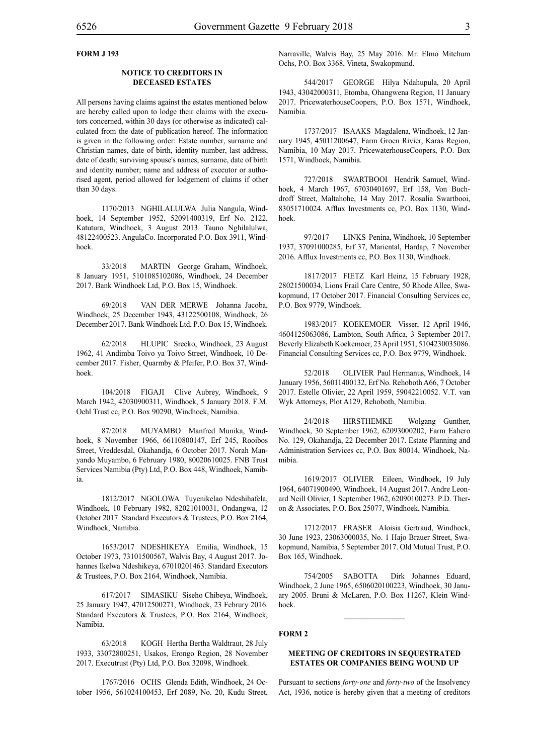## **FORM J 193**

#### **NOTICE TO CREDITORS IN DECEASED ESTATES**

All persons having claims against the estates mentioned below are hereby called upon to lodge their claims with the executors concerned, within 30 days (or otherwise as indicated) calculated from the date of publication hereof. The information is given in the following order: Estate number, surname and Christian names, date of birth, identity number, last address, date of death; surviving spouse's names, surname, date of birth and identity number; name and address of executor or authorised agent, period allowed for lodgement of claims if other than 30 days.

1170/2013 NGHILALULWA Julia Nangula, Windhoek, 14 September 1952, 52091400319, Erf No. 2122, Katutura, Windhoek, 3 August 2013. Tauno Nghilalulwa, 48122400523. AngulaCo. Incorporated P.O. Box 3911, Windhoek.

33/2018 MARTIN George Graham, Windhoek, 8 January 1951, 5101085102086, Windhoek, 24 December 2017. Bank Windhoek Ltd, P.O. Box 15, Windhoek.

69/2018 VAN DER MERWE Johanna Jacoba, Windhoek, 25 December 1943, 43122500108, Windhoek, 26 December 2017. Bank Windhoek Ltd, P.O. Box 15, Windhoek.

62/2018 HLUPIC Srecko, Windhoek, 23 August 1962, 41 Andimba Toivo ya Toivo Street, Windhoek, 10 December 2017. Fisher, Quarmby & Pfeifer, P.O. Box 37, Windhoek.

104/2018 FIGAJI Clive Aubrey, Windhoek, 9 March 1942, 42030900311, Windhoek, 5 January 2018. F.M. Oehl Trust cc, P.O. Box 90290, Windhoek, Namibia.

87/2018 MUYAMBO Manfred Munika, Windhoek, 8 November 1966, 66110800147, Erf 245, Rooibos Street, Vreddesdal, Okahandja, 6 October 2017. Norah Manyando Muyambo, 6 February 1980, 80020610025. FNB Trust Services Namibia (Pty) Ltd, P.O. Box 448, Windhoek, Namibia.

1812/2017 NGOLOWA Tuyenikelao Ndeshihafela, Windhoek, 10 February 1982, 82021010031, Ondangwa, 12 October 2017. Standard Executors & Trustees, P.O. Box 2164, Windhoek, Namibia.

1653/2017 NDESHIKEYA Emilia, Windhoek, 15 October 1973, 73101500567, Walvis Bay, 4 August 2017. Johannes Ikelwa Ndeshikeya, 67010201463. Standard Executors & Trustees, P.O. Box 2164, Windhoek, Namibia.

617/2017 SIMASIKU Siseho Chibeya, Windhoek, 25 January 1947, 47012500271, Windhoek, 23 Februry 2016. Standard Executors & Trustees, P.O. Box 2164, Windhoek, Namibia.

63/2018 KOGH Hertha Bertha Waldtraut, 28 July 1933, 33072800251, Usakos, Erongo Region, 28 November 2017. Executrust (Pty) Ltd, P.O. Box 32098, Windhoek.

1767/2016 OCHS Glenda Edith, Windhoek, 24 October 1956, 561024100453, Erf 2089, No. 20, Kudu Street, Narraville, Walvis Bay, 25 May 2016. Mr. Elmo Mitchum Ochs, P.O. Box 3368, Vineta, Swakopmund.

544/2017 GEORGE Hilya Ndahupula, 20 April 1943, 43042000311, Etomba, Ohangwena Region, 11 January 2017. PricewaterhouseCoopers, P.O. Box 1571, Windhoek, Namibia.

1737/2017 ISAAKS Magdalena, Windhoek, 12 January 1945, 45011200647, Farm Groen Rivier, Karas Region, Namibia, 10 May 2017. PricewaterhouseCoopers, P.O. Box 1571, Windhoek, Namibia.

727/2018 SWARTBOOI Hendrik Samuel, Windhoek, 4 March 1967, 67030401697, Erf 158, Von Buchdroff Street, Maltahohe, 14 May 2017. Rosalia Swartbooi, 83051710024. Afflux Investments cc, P.O. Box 1130, Windhoek.

97/2017 LINKS Penina, Windhoek, 10 September 1937, 37091000285, Erf 37, Mariental, Hardap, 7 November 2016. Afflux Investments cc, P.O. Box 1130, Windhoek.

1817/2017 FIETZ Karl Heinz, 15 February 1928, 28021500034, Lions Frail Care Centre, 50 Rhode Allee, Swakopmund, 17 October 2017. Financial Consulting Services cc, P.O. Box 9779, Windhoek.

1983/2017 KOEKEMOER Visser, 12 April 1946, 4604125063086, Lambton, South Africa, 3 September 2017. Beverly Elizabeth Koekemoer, 23 April 1951, 5104230035086. Financial Consulting Services cc, P.O. Box 9779, Windhoek.

52/2018 OLIVIER Paul Hermanus, Windhoek, 14 January 1956, 56011400132, Erf No. Rehoboth A66, 7 October 2017. Estelle Olivier, 22 April 1959, 59042210052. V.T. van Wyk Attorneys, Plot A129, Rehoboth, Namibia.

24/2018 hirsthemke Wolgang Gunther, Windhoek, 30 September 1962, 62093000202, Farm Eahero No. 129, Okahandja, 22 December 2017. Estate Planning and Administration Services cc, P.O. Box 80014, Windhoek, Namibia.

1619/2017 OLIVIER Eileen, Windhoek, 19 July 1964, 64071900490, Windhoek, 14 August 2017. Andre Leonard Neill Olivier, 1 September 1962, 62090100273. P.D. Theron & Associates, P.O. Box 25077, Windhoek, Namibia.

1712/2017 FRASER Aloisia Gertraud, Windhoek, 30 June 1923, 23063000035, No. 1 Hajo Brauer Street, Swakopmund, Namibia, 5 September 2017. Old Mutual Trust, P.O. Box 165, Windhoek.

754/2005 SABOTTA Dirk Johannes Eduard, Windhoek, 2 June 1965, 6506020100223, Windhoek, 30 January 2005. Bruni & McLaren, P.O. Box 11267, Klein Windhoek.

## **FORM 2**

## **MEETING OF CREDITORS IN SEQUESTRATED ESTATES OR COMPANIES BEING WOUND UP**

Pursuant to sections *forty-one* and *forty-two* of the Insolvency Act, 1936, notice is hereby given that a meeting of creditors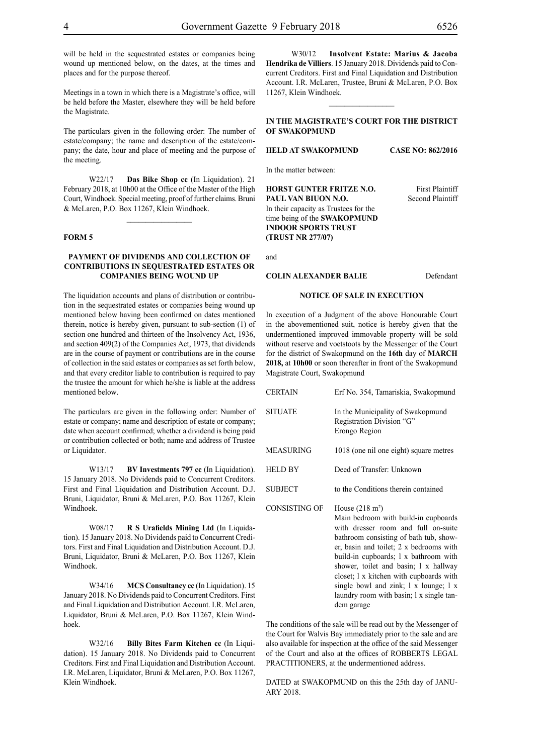will be held in the sequestrated estates or companies being wound up mentioned below, on the dates, at the times and places and for the purpose thereof.

Meetings in a town in which there is a Magistrate's office, will be held before the Master, elsewhere they will be held before the Magistrate.

The particulars given in the following order: The number of estate/company; the name and description of the estate/company; the date, hour and place of meeting and the purpose of the meeting.

W22/17 **Das Bike Shop cc** (In Liquidation). 21 February 2018, at 10h00 at the Office of the Master of the High Court, Windhoek. Special meeting, proof of further claims. Bruni & McLaren, P.O. Box 11267, Klein Windhoek.

 $\frac{1}{2}$ 

#### **FORM 5**

## **PAYMENT OF DIVIDENDS AND COLLECTION OF CONTRIBUTIONS IN SEQUESTRATED ESTATES OR COMPANIES BEING WOUND UP**

The liquidation accounts and plans of distribution or contribution in the sequestrated estates or companies being wound up mentioned below having been confirmed on dates mentioned therein, notice is hereby given, pursuant to sub-section (1) of section one hundred and thirteen of the Insolvency Act, 1936, and section 409(2) of the Companies Act, 1973, that dividends are in the course of payment or contributions are in the course of collection in the said estates or companies as set forth below, and that every creditor liable to contribution is required to pay the trustee the amount for which he/she is liable at the address mentioned below.

The particulars are given in the following order: Number of estate or company; name and description of estate or company; date when account confirmed; whether a dividend is being paid or contribution collected or both; name and address of Trustee or Liquidator.

W13/17 **BV Investments 797 cc** (In Liquidation). 15 January 2018. No Dividends paid to Concurrent Creditors. First and Final Liquidation and Distribution Account. D.J. Bruni, Liquidator, Bruni & McLaren, P.O. Box 11267, Klein Windhoek.

W08/17 **R S Urafields Mining Ltd** (In Liquidation). 15 January 2018. No Dividends paid to Concurrent Creditors. First and Final Liquidation and Distribution Account. D.J. Bruni, Liquidator, Bruni & McLaren, P.O. Box 11267, Klein Windhoek.

W34/16 **MCS Consultancy cc** (In Liquidation). 15 January 2018. No Dividends paid to Concurrent Creditors. First and Final Liquidation and Distribution Account. I.R. McLaren, Liquidator, Bruni & McLaren, P.O. Box 11267, Klein Windhoek.

W32/16 **Billy Bites Farm Kitchen cc** (In Liquidation). 15 January 2018. No Dividends paid to Concurrent Creditors. First and Final Liquidation and Distribution Account. I.R. McLaren, Liquidator, Bruni & McLaren, P.O. Box 11267, Klein Windhoek.

W30/12 **Insolvent Estate: Marius & Jacoba Hendrika de Villiers**. 15 January 2018. Dividends paid to Concurrent Creditors. First and Final Liquidation and Distribution Account. I.R. McLaren, Trustee, Bruni & McLaren, P.O. Box 11267, Klein Windhoek.

## **IN THE MAGISTRATE'S COURT FOR THE DISTRICT OF SWAKOPMUND**

 $\frac{1}{2}$ 

**HELD AT SWAKOPMUND CASE NO: 862/2016**

In the matter between:

**HORST GUNTER FRITZE N.O.** First Plaintiff **PAUL VAN BIUON N.O.** Second Plaintiff In their capacity as Trustees for the time being of the **SWAKOPMUND INDOOR SPORTS TRUST (TRUST NR 277/07)**

and

## **COLIN ALEXANDER BALIE** Defendant

#### **NOTICE OF SALE IN EXECUTION**

In execution of a Judgment of the above Honourable Court in the abovementioned suit, notice is hereby given that the undermentioned improved immovable property will be sold without reserve and voetstoots by the Messenger of the Court for the district of Swakopmund on the **16th** day of **MARCH 2018,** at **10h00** or soon thereafter in front of the Swakopmund Magistrate Court, Swakopmund

| <b>CERTAIN</b>       | Erf No. 354, Tamariskia, Swakopmund                                                                                                                                                                                                                                                                                                                                                                                           |
|----------------------|-------------------------------------------------------------------------------------------------------------------------------------------------------------------------------------------------------------------------------------------------------------------------------------------------------------------------------------------------------------------------------------------------------------------------------|
| <b>SITUATE</b>       | In the Municipality of Swakopmund<br>Registration Division "G"<br>Erongo Region                                                                                                                                                                                                                                                                                                                                               |
| <b>MEASURING</b>     | 1018 (one nil one eight) square metres                                                                                                                                                                                                                                                                                                                                                                                        |
| <b>HELD BY</b>       | Deed of Transfer: Unknown                                                                                                                                                                                                                                                                                                                                                                                                     |
| <b>SUBJECT</b>       | to the Conditions therein contained                                                                                                                                                                                                                                                                                                                                                                                           |
| <b>CONSISTING OF</b> | House $(218 \text{ m}^2)$<br>Main bedroom with build-in cupboards<br>with dresser room and full on-suite<br>bathroom consisting of bath tub, show-<br>er, basin and toilet; 2 x bedrooms with<br>build-in cupboards; 1 x bathroom with<br>shower, toilet and basin; 1 x hallway<br>closet; 1 x kitchen with cupboards with<br>single bowl and zink; 1 x lounge; 1 x<br>laundry room with basin; 1 x single tan-<br>dem garage |

The conditions of the sale will be read out by the Messenger of the Court for Walvis Bay immediately prior to the sale and are also available for inspection at the office of the said Messenger of the Court and also at the offices of ROBBERTS LEGAL PRACTITIONERS, at the undermentioned address.

DATED at SWAKOPMUND on this the 25th day of JANU-ARY 2018.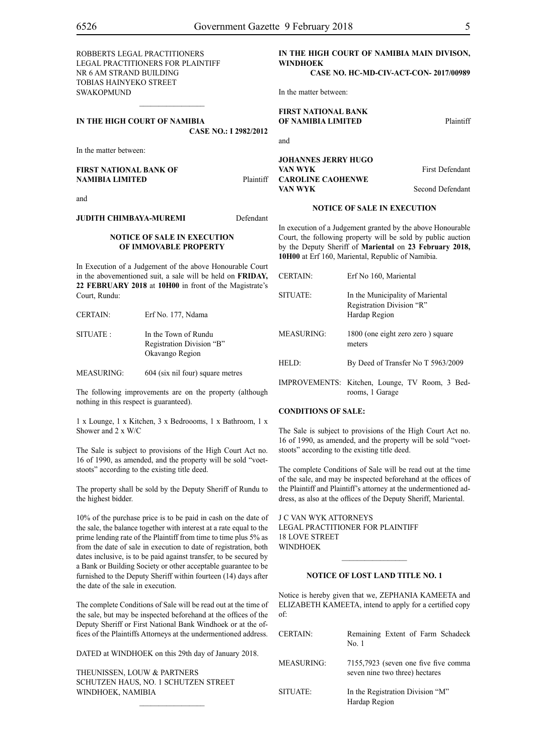| ROBBERTS LEGAL PRACTITIONERS<br><b>LEGAL PRACTITIONERS FOR PLAINTIFF</b><br>NR 6 AM STRAND BUILDING<br><b>TOBIAS HAINYEKO STREET</b> |           | IN THE HIGH COURT OF NAMIBIA MAIN DIVISON,<br><b>WINDHOEK</b><br>CASE NO. HC-MD-CIV-ACT-CON-2017/00989                                   |                        |
|--------------------------------------------------------------------------------------------------------------------------------------|-----------|------------------------------------------------------------------------------------------------------------------------------------------|------------------------|
| <b>SWAKOPMUND</b>                                                                                                                    |           | In the matter between:                                                                                                                   |                        |
| IN THE HIGH COURT OF NAMIBIA<br><b>CASE NO.: I 2982/2012</b>                                                                         |           | <b>FIRST NATIONAL BANK</b><br>OF NAMIBIA LIMITED                                                                                         | Plaintiff              |
| In the matter between:                                                                                                               |           | and                                                                                                                                      |                        |
| <b>FIRST NATIONAL BANK OF</b><br><b>NAMIBIA LIMITED</b>                                                                              | Plaintiff | <b>JOHANNES JERRY HUGO</b><br>VAN WYK<br><b>CAROLINE CAOHENWE</b>                                                                        | <b>First Defendant</b> |
|                                                                                                                                      |           | VAN WYK                                                                                                                                  | Second Defendant       |
| and                                                                                                                                  |           | <b>NOTICE OF SALE IN EXECUTION</b>                                                                                                       |                        |
| <b>JUDITH CHIMBAYA-MUREMI</b>                                                                                                        | Defendant | In execution of a Judgement granted by the above Honourable                                                                              |                        |
| <b>NOTICE OF SALE IN EXECUTION</b><br>OF IMMOVABLE PROPERTY                                                                          |           | Court, the following property will be sold by public auction<br>by the Deputy Sheriff of Mariental on 23 February 2018,<br>$\frac{1}{2}$ |                        |

In Execution of a Judgement of the above Honourable Court in the abovementioned suit, a sale will be held on **FRIDAY, 22 FEBRUARY 2018** at **10H00** in front of the Magistrate's Court, Rundu:

| <b>CERTAIN:</b>   | Erf No. 177, Ndama                                                   |
|-------------------|----------------------------------------------------------------------|
| SITUATE:          | In the Town of Rundu<br>Registration Division "B"<br>Okavango Region |
| <b>MEASURING:</b> | 604 (six nil four) square metres                                     |

The following improvements are on the property (although nothing in this respect is guaranteed).

1 x Lounge, 1 x Kitchen, 3 x Bedroooms, 1 x Bathroom, 1 x Shower and 2 x W/C

The Sale is subject to provisions of the High Court Act no. 16 of 1990, as amended, and the property will be sold "voetstoots" according to the existing title deed.

The property shall be sold by the Deputy Sheriff of Rundu to the highest bidder.

10% of the purchase price is to be paid in cash on the date of the sale, the balance together with interest at a rate equal to the prime lending rate of the Plaintiff from time to time plus 5% as from the date of sale in execution to date of registration, both dates inclusive, is to be paid against transfer, to be secured by a Bank or Building Society or other acceptable guarantee to be furnished to the Deputy Sheriff within fourteen (14) days after the date of the sale in execution.

The complete Conditions of Sale will be read out at the time of the sale, but may be inspected beforehand at the offices of the Deputy Sheriff or First National Bank Windhoek or at the offices of the Plaintiffs Attorneys at the undermentioned address.

DATED at WINDHOEK on this 29th day of January 2018.

 $\frac{1}{2}$ 

THEUNISSEN, LOUW & PARTNERS Schutzen Haus, No. 1 Schutzen Street WINDHOEK, NAMIBIA

In execution of a Judgement granted by the above Honourable Court, the following property will be sold by public auction by the Deputy Sheriff of **Mariental** on **23 February 2018, 10H00** at Erf 160, Mariental, Republic of Namibia.

| <b>CERTAIN:</b>   | Erf No 160, Mariental                                                          |
|-------------------|--------------------------------------------------------------------------------|
| SITUATE:          | In the Municipality of Mariental<br>Registration Division "R"<br>Hardap Region |
| <b>MEASURING:</b> | 1800 (one eight zero zero) square<br>meters                                    |
| HELD:             | By Deed of Transfer No T 5963/2009                                             |
|                   | IMPROVEMENTS: Kitchen, Lounge, TV Room, 3 Bed-<br>rooms, 1 Garage              |

#### **CONDITIONS OF SALE:**

The Sale is subject to provisions of the High Court Act no. 16 of 1990, as amended, and the property will be sold "voetstoots" according to the existing title deed.

The complete Conditions of Sale will be read out at the time of the sale, and may be inspected beforehand at the offices of the Plaintiff and Plaintiff's attorney at the undermentioned address, as also at the offices of the Deputy Sheriff, Mariental.

J C VAN WYK ATTORNEYS Legal Practitioner for Plaintiff 18 LOVE STREET WINDHOEK

## **NOTICE OF LOST LAND TITLE NO. 1**

 $\frac{1}{2}$ 

Notice is hereby given that we, ZEPHANIA KAMEETA and ELIZABETH KAMEETA, intend to apply for a certified copy of:

| <b>CERTAIN:</b>   | Remaining Extent of Farm Schadeck<br>No. 1                             |
|-------------------|------------------------------------------------------------------------|
| <b>MEASURING:</b> | 7155,7923 (seven one five five comma<br>seven nine two three) hectares |
| SITUATE:          | In the Registration Division "M"<br>Hardap Region                      |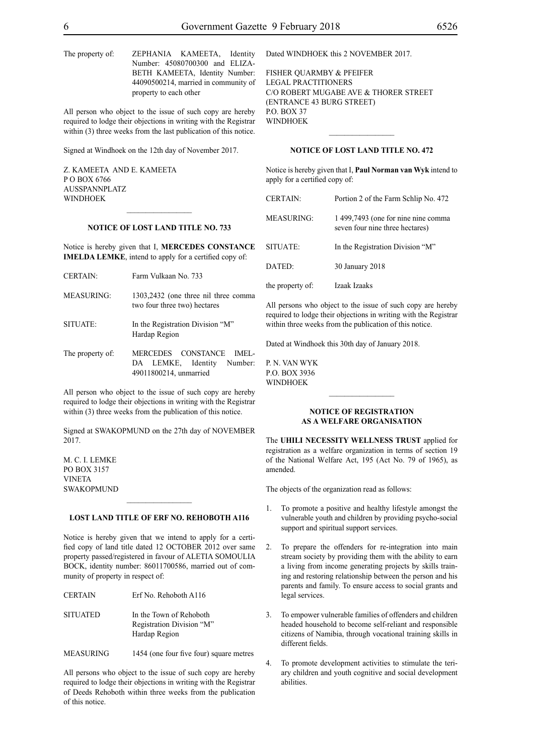The property of: ZEPHANIA KAMEETA, Identity Number: 45080700300 and ELIZA-BETH KAMEETA, Identity Number: 44090500214, married in community of property to each other

All person who object to the issue of such copy are hereby required to lodge their objections in writing with the Registrar within (3) three weeks from the last publication of this notice.

Signed at Windhoek on the 12th day of November 2017.

Z. KAMEETA and E. KAMEETA P O BOX 6766 AUSSPANNPLATZ WINDHOEK

#### **NOTICE OF LOST LAND TITLE NO. 733**

 $\frac{1}{2}$ 

Notice is hereby given that I, **MERCEDES CONSTANCE IMELDA LEMKE**, intend to apply for a certified copy of:

| <b>CERTAIN:</b>   | Farm Vulkaan No. 733                                                 |
|-------------------|----------------------------------------------------------------------|
| <b>MEASURING:</b> | 1303,2432 (one three nil three comma<br>two four three two) hectares |
| SITUATE:          | In the Registration Division "M"<br>Hardap Region                    |
| The property of:  | MERCEDES CONSTANCE<br>IMEL-<br>LEMKE, Identity<br>Number:<br>DA      |

All person who object to the issue of such copy are hereby required to lodge their objections in writing with the Registrar within (3) three weeks from the publication of this notice.

49011800214, unmarried

Signed at SWAKOPMUND on the 27th day of NOVEMBER 2017.

M. C. I. LEMKE PO BOX 3157 VINETA SWAKOPMUND

#### **LOST LAND TITLE OF ERF NO. REHOBOTH A116**

Notice is hereby given that we intend to apply for a certified copy of land title dated 12 OCTOBER 2012 over same property passed/registered in favour of ALETIA SOMOULIA BOCK, identity number: 86011700586, married out of community of property in respect of:

| CERTAIN         | Erf No. Rehoboth A116                                                 |
|-----------------|-----------------------------------------------------------------------|
| <b>SITUATED</b> | In the Town of Rehoboth<br>Registration Division "M"<br>Hardap Region |

MEASURING 1454 (one four five four) square metres

All persons who object to the issue of such copy are hereby required to lodge their objections in writing with the Registrar of Deeds Rehoboth within three weeks from the publication of this notice.

Dated WINDHOEK this 2 NOVEMBER 2017.

FISHER QUARMBY & PFEIFER Legal Practitioners C/O Robert Mugabe Ave & Thorer Street (Entrance 43 Burg Street) P.O. BOX 37 **WINDHOEK** 

## **NOTICE OF LOST LAND TITLE NO. 472**

 $\frac{1}{2}$ 

Notice is hereby given that I, **Paul Norman van Wyk** intend to apply for a certified copy of:

| <b>CERTAIN:</b>   | Portion 2 of the Farm Schlip No. 472                                   |
|-------------------|------------------------------------------------------------------------|
| <b>MEASURING:</b> | 1 499,7493 (one for nine nine comma<br>seven four nine three hectares) |
| SITUATE:          | In the Registration Division "M"                                       |
| DATED:            | 30 January 2018                                                        |
| the property of:  | Izaak Izaaks                                                           |

All persons who object to the issue of such copy are hereby required to lodge their objections in writing with the Registrar within three weeks from the publication of this notice.

Dated at Windhoek this 30th day of January 2018.

P. N. van Wyk p.o. box 3936 **WINDHOEK** 

#### **NOTICE OF REGISTRATION AS A WELFARE ORGANISATION**

 $\frac{1}{2}$ 

The **uhili necessity wellness trust** applied for registration as a welfare organization in terms of section 19 of the National Welfare Act, 195 (Act No. 79 of 1965), as amended.

The objects of the organization read as follows:

- 1. To promote a positive and healthy lifestyle amongst the vulnerable youth and children by providing psycho-social support and spiritual support services.
- 2. To prepare the offenders for re-integration into main stream society by providing them with the ability to earn a living from income generating projects by skills training and restoring relationship between the person and his parents and family. To ensure access to social grants and legal services.
- 3. To empower vulnerable families of offenders and children headed household to become self-reliant and responsible citizens of Namibia, through vocational training skills in different fields.
- 4. To promote development activities to stimulate the teriary children and youth cognitive and social development abilities.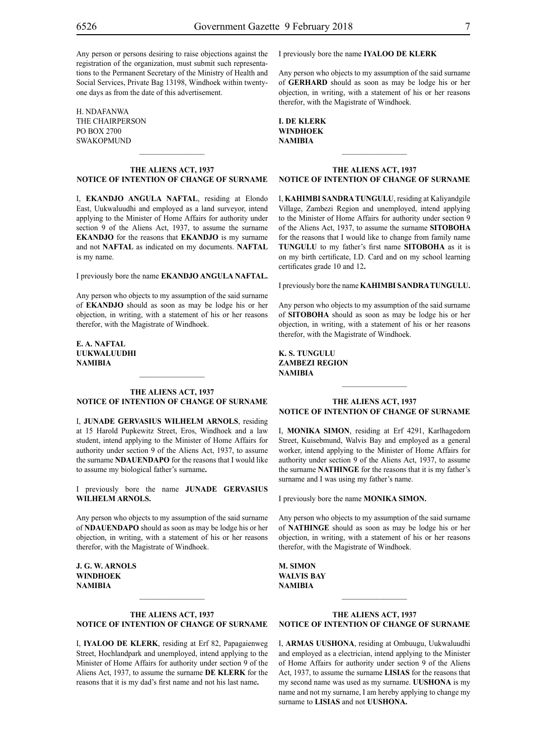Any person or persons desiring to raise objections against the registration of the organization, must submit such representations to the Permanent Secretary of the Ministry of Health and Social Services, Private Bag 13198, Windhoek within twentyone days as from the date of this advertisement.

H. NDAFANWA The Chairperson PO Box 2700 SWAKOPMUND

## **THE ALIENS ACT, 1937 NOTICE OF INTENTION OF CHANGE OF SURNAME**

 $\frac{1}{2}$ 

I, **ekandjo angula naftal**, residing at Elondo East, Uukwaluudhi and employed as a land surveyor, intend applying to the Minister of Home Affairs for authority under section 9 of the Aliens Act, 1937, to assume the surname **ekandjo** for the reasons that **EKANDJO** is my surname and not **NAFTAL** as indicated on my documents. **NAFTAL** is my name.

I previously bore the name **ekandjo angula naftal.**

Any person who objects to my assumption of the said surname of **EKANDJO** should as soon as may be lodge his or her objection, in writing, with a statement of his or her reasons therefor, with the Magistrate of Windhoek.

**e. a. naftal uukwaluudhi NAMIBIA**

#### **THE ALIENS ACT, 1937 NOTICE OF INTENTION OF CHANGE OF SURNAME**

 $\frac{1}{2}$ 

I, **junade gervasius wilhelm arnols**, residing at 15 Harold Pupkewitz Street, Eros, Windhoek and a law student, intend applying to the Minister of Home Affairs for authority under section 9 of the Aliens Act, 1937, to assume the surname **NDAUENDAPO** for the reasons that I would like to assume my biological father's surname**.**

I previously bore the name **junade gervasius wilhelm arnols.**

Any person who objects to my assumption of the said surname of **NDAUENDAPO** should as soon as may be lodge his or her objection, in writing, with a statement of his or her reasons therefor, with the Magistrate of Windhoek.

**j. g. w. arnols Windhoek NAMIBIA**

## **THE ALIENS ACT, 1937 NOTICE OF INTENTION OF CHANGE OF SURNAME**

I, **iyaloo de klerk**, residing at Erf 82, Papagaienweg Street, Hochlandpark and unemployed, intend applying to the Minister of Home Affairs for authority under section 9 of the Aliens Act, 1937, to assume the surname **DE KLERK** for the reasons that it is my dad's first name and not his last name**.**

I previously bore the name **iyaloo de klerk**

Any person who objects to my assumption of the said surname of **GERHARD** should as soon as may be lodge his or her objection, in writing, with a statement of his or her reasons therefor, with the Magistrate of Windhoek.

|  | L DE KLERK |
|--|------------|
|  | WINDHOEK   |
|  | NAMIBIA    |

#### **THE ALIENS ACT, 1937 NOTICE OF INTENTION OF CHANGE OF SURNAME**

 $\frac{1}{2}$ 

I, **kahimbi sandratungulu**, residing at Kaliyandgile Village, Zambezi Region and unemployed, intend applying to the Minister of Home Affairs for authority under section 9 of the Aliens Act, 1937, to assume the surname **SITOBOHA** for the reasons that I would like to change from family name **TUNGULU** to my father's first name **SITOBOHA** as it is on my birth certificate, I.D. Card and on my school learning certificates grade 10 and 12**.**

I previously bore the name **kahimbi sandratungulu.**

Any person who objects to my assumption of the said surname of **SITOBOHA** should as soon as may be lodge his or her objection, in writing, with a statement of his or her reasons therefor, with the Magistrate of Windhoek.

**k. s. tungulu zambezi region NAMIBIA**

#### **THE ALIENS ACT, 1937 NOTICE OF INTENTION OF CHANGE OF SURNAME**

I, **monika simon**, residing at Erf 4291, Karlhagedorn Street, Kuisebmund, Walvis Bay and employed as a general worker, intend applying to the Minister of Home Affairs for authority under section 9 of the Aliens Act, 1937, to assume the surname **NATHINGE** for the reasons that it is my father's surname and I was using my father's name.

I previously bore the name **monika simon.**

Any person who objects to my assumption of the said surname of **nathinge** should as soon as may be lodge his or her objection, in writing, with a statement of his or her reasons therefor, with the Magistrate of Windhoek.

**m. simon walvis bay NAMIBIA**

## **THE ALIENS ACT, 1937 NOTICE OF INTENTION OF CHANGE OF SURNAME**

I, **Armas Uushona**, residing at Ombuugu, Uukwaluudhi and employed as a electrician, intend applying to the Minister of Home Affairs for authority under section 9 of the Aliens Act, 1937, to assume the surname **LISIAS** for the reasons that my second name was used as my surname. **UUSHONA** is my name and not my surname, I am hereby applying to change my surname to **LISIAS** and not **UUSHONA.**